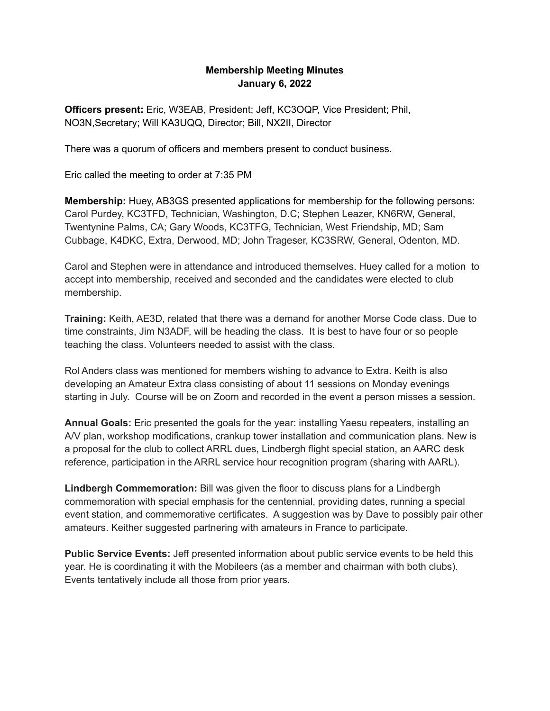## **Membership Meeting Minutes January 6, 2022**

**Officers present:** Eric, W3EAB, President; Jeff, KC3OQP, Vice President; Phil, NO3N,Secretary; Will KA3UQQ, Director; Bill, NX2II, Director

There was a quorum of officers and members present to conduct business.

Eric called the meeting to order at 7:35 PM

**Membership:** Huey, AB3GS presented applications for membership for the following persons: Carol Purdey, KC3TFD, Technician, Washington, D.C; Stephen Leazer, KN6RW, General, Twentynine Palms, CA; Gary Woods, KC3TFG, Technician, West Friendship, MD; Sam Cubbage, K4DKC, Extra, Derwood, MD; John Trageser, KC3SRW, General, Odenton, MD.

Carol and Stephen were in attendance and introduced themselves. Huey called for a motion to accept into membership, received and seconded and the candidates were elected to club membership.

**Training:** Keith, AE3D, related that there was a demand for another Morse Code class. Due to time constraints, Jim N3ADF, will be heading the class. It is best to have four or so people teaching the class. Volunteers needed to assist with the class.

Rol Anders class was mentioned for members wishing to advance to Extra. Keith is also developing an Amateur Extra class consisting of about 11 sessions on Monday evenings starting in July. Course will be on Zoom and recorded in the event a person misses a session.

**Annual Goals:** Eric presented the goals for the year: installing Yaesu repeaters, installing an A/V plan, workshop modifications, crankup tower installation and communication plans. New is a proposal for the club to collect ARRL dues, Lindbergh flight special station, an AARC desk reference, participation in the ARRL service hour recognition program (sharing with AARL).

**Lindbergh Commemoration:** Bill was given the floor to discuss plans for a Lindbergh commemoration with special emphasis for the centennial, providing dates, running a special event station, and commemorative certificates. A suggestion was by Dave to possibly pair other amateurs. Keither suggested partnering with amateurs in France to participate.

**Public Service Events:** Jeff presented information about public service events to be held this year. He is coordinating it with the Mobileers (as a member and chairman with both clubs). Events tentatively include all those from prior years.